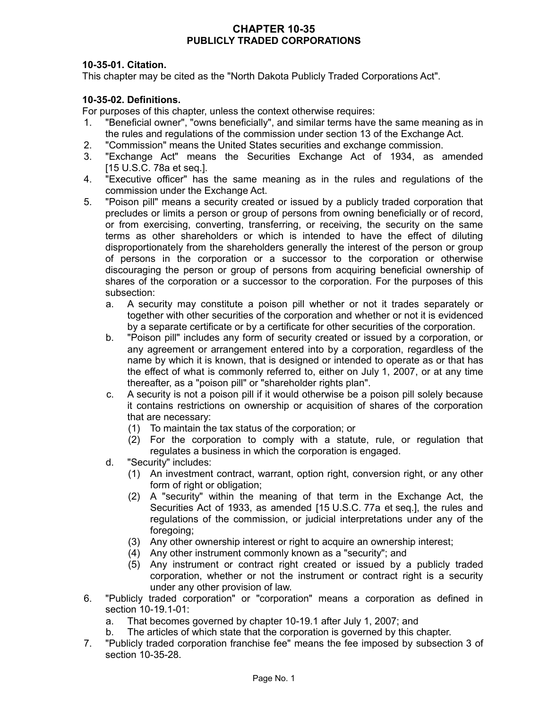## **CHAPTER 10-35 PUBLICLY TRADED CORPORATIONS**

# **10-35-01. Citation.**

This chapter may be cited as the "North Dakota Publicly Traded Corporations Act".

## **10-35-02. Definitions.**

For purposes of this chapter, unless the context otherwise requires:

- 1. "Beneficial owner", "owns beneficially", and similar terms have the same meaning as in the rules and regulations of the commission under section 13 of the Exchange Act.
- 2. "Commission" means the United States securities and exchange commission.
- 3. "Exchange Act" means the Securities Exchange Act of 1934, as amended [15 U.S.C. 78a et seq.].
- 4. "Executive officer" has the same meaning as in the rules and regulations of the commission under the Exchange Act.
- 5. "Poison pill" means a security created or issued by a publicly traded corporation that precludes or limits a person or group of persons from owning beneficially or of record, or from exercising, converting, transferring, or receiving, the security on the same terms as other shareholders or which is intended to have the effect of diluting disproportionately from the shareholders generally the interest of the person or group of persons in the corporation or a successor to the corporation or otherwise discouraging the person or group of persons from acquiring beneficial ownership of shares of the corporation or a successor to the corporation. For the purposes of this subsection:
	- a. A security may constitute a poison pill whether or not it trades separately or together with other securities of the corporation and whether or not it is evidenced by a separate certificate or by a certificate for other securities of the corporation.
	- b. "Poison pill" includes any form of security created or issued by a corporation, or any agreement or arrangement entered into by a corporation, regardless of the name by which it is known, that is designed or intended to operate as or that has the effect of what is commonly referred to, either on July 1, 2007, or at any time thereafter, as a "poison pill" or "shareholder rights plan".
	- c. A security is not a poison pill if it would otherwise be a poison pill solely because it contains restrictions on ownership or acquisition of shares of the corporation that are necessary:
		- (1) To maintain the tax status of the corporation; or
		- (2) For the corporation to comply with a statute, rule, or regulation that regulates a business in which the corporation is engaged.
	- d. "Security" includes:
		- (1) An investment contract, warrant, option right, conversion right, or any other form of right or obligation;
		- (2) A "security" within the meaning of that term in the Exchange Act, the Securities Act of 1933, as amended [15 U.S.C. 77a et seq.], the rules and regulations of the commission, or judicial interpretations under any of the foregoing;
		- (3) Any other ownership interest or right to acquire an ownership interest;
		- (4) Any other instrument commonly known as a "security"; and
		- (5) Any instrument or contract right created or issued by a publicly traded corporation, whether or not the instrument or contract right is a security under any other provision of law.
- 6. "Publicly traded corporation" or "corporation" means a corporation as defined in section 10-19.1-01:
	- a. That becomes governed by chapter 10-19.1 after July 1, 2007; and
	- b. The articles of which state that the corporation is governed by this chapter.
- 7. "Publicly traded corporation franchise fee" means the fee imposed by subsection 3 of section 10-35-28.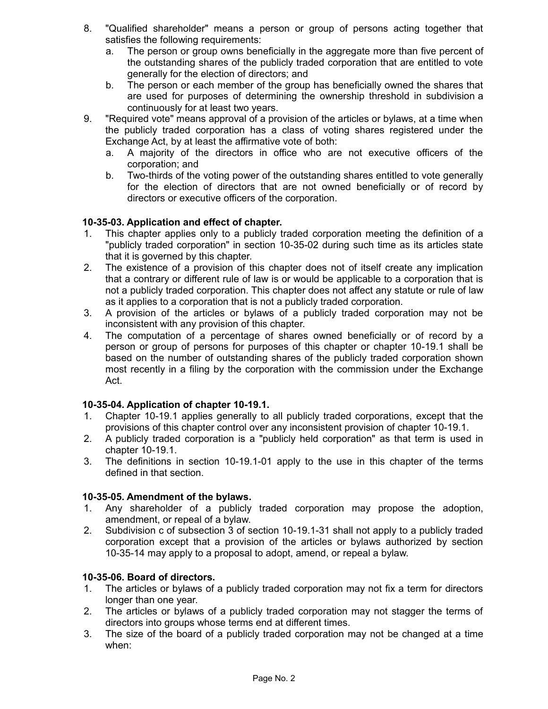- 8. "Qualified shareholder" means a person or group of persons acting together that satisfies the following requirements:
	- a. The person or group owns beneficially in the aggregate more than five percent of the outstanding shares of the publicly traded corporation that are entitled to vote generally for the election of directors; and
	- b. The person or each member of the group has beneficially owned the shares that are used for purposes of determining the ownership threshold in subdivision a continuously for at least two years.
- 9. "Required vote" means approval of a provision of the articles or bylaws, at a time when the publicly traded corporation has a class of voting shares registered under the Exchange Act, by at least the affirmative vote of both:
	- a. A majority of the directors in office who are not executive officers of the corporation; and
	- b. Two-thirds of the voting power of the outstanding shares entitled to vote generally for the election of directors that are not owned beneficially or of record by directors or executive officers of the corporation.

# **10-35-03. Application and effect of chapter.**

- 1. This chapter applies only to a publicly traded corporation meeting the definition of a "publicly traded corporation" in section 10-35-02 during such time as its articles state that it is governed by this chapter.
- 2. The existence of a provision of this chapter does not of itself create any implication that a contrary or different rule of law is or would be applicable to a corporation that is not a publicly traded corporation. This chapter does not affect any statute or rule of law as it applies to a corporation that is not a publicly traded corporation.
- 3. A provision of the articles or bylaws of a publicly traded corporation may not be inconsistent with any provision of this chapter.
- 4. The computation of a percentage of shares owned beneficially or of record by a person or group of persons for purposes of this chapter or chapter 10-19.1 shall be based on the number of outstanding shares of the publicly traded corporation shown most recently in a filing by the corporation with the commission under the Exchange Act.

#### **10-35-04. Application of chapter 10-19.1.**

- 1. Chapter 10-19.1 applies generally to all publicly traded corporations, except that the provisions of this chapter control over any inconsistent provision of chapter 10-19.1.
- 2. A publicly traded corporation is a "publicly held corporation" as that term is used in chapter 10-19.1.
- 3. The definitions in section 10-19.1-01 apply to the use in this chapter of the terms defined in that section.

#### **10-35-05. Amendment of the bylaws.**

- 1. Any shareholder of a publicly traded corporation may propose the adoption, amendment, or repeal of a bylaw.
- 2. Subdivision c of subsection 3 of section 10-19.1-31 shall not apply to a publicly traded corporation except that a provision of the articles or bylaws authorized by section 10-35-14 may apply to a proposal to adopt, amend, or repeal a bylaw.

#### **10-35-06. Board of directors.**

- 1. The articles or bylaws of a publicly traded corporation may not fix a term for directors longer than one year.
- 2. The articles or bylaws of a publicly traded corporation may not stagger the terms of directors into groups whose terms end at different times.
- 3. The size of the board of a publicly traded corporation may not be changed at a time when: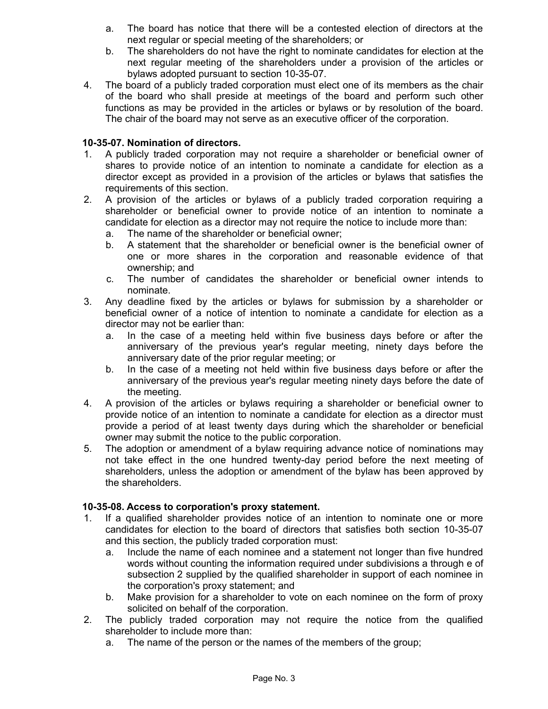- a. The board has notice that there will be a contested election of directors at the next regular or special meeting of the shareholders; or
- b. The shareholders do not have the right to nominate candidates for election at the next regular meeting of the shareholders under a provision of the articles or bylaws adopted pursuant to section 10-35-07.
- 4. The board of a publicly traded corporation must elect one of its members as the chair of the board who shall preside at meetings of the board and perform such other functions as may be provided in the articles or bylaws or by resolution of the board. The chair of the board may not serve as an executive officer of the corporation.

## **10-35-07. Nomination of directors.**

- 1. A publicly traded corporation may not require a shareholder or beneficial owner of shares to provide notice of an intention to nominate a candidate for election as a director except as provided in a provision of the articles or bylaws that satisfies the requirements of this section.
- 2. A provision of the articles or bylaws of a publicly traded corporation requiring a shareholder or beneficial owner to provide notice of an intention to nominate a candidate for election as a director may not require the notice to include more than:
	- a. The name of the shareholder or beneficial owner;
	- b. A statement that the shareholder or beneficial owner is the beneficial owner of one or more shares in the corporation and reasonable evidence of that ownership; and
	- c. The number of candidates the shareholder or beneficial owner intends to nominate.
- 3. Any deadline fixed by the articles or bylaws for submission by a shareholder or beneficial owner of a notice of intention to nominate a candidate for election as a director may not be earlier than:
	- a. In the case of a meeting held within five business days before or after the anniversary of the previous year's regular meeting, ninety days before the anniversary date of the prior regular meeting; or
	- b. In the case of a meeting not held within five business days before or after the anniversary of the previous year's regular meeting ninety days before the date of the meeting.
- 4. A provision of the articles or bylaws requiring a shareholder or beneficial owner to provide notice of an intention to nominate a candidate for election as a director must provide a period of at least twenty days during which the shareholder or beneficial owner may submit the notice to the public corporation.
- 5. The adoption or amendment of a bylaw requiring advance notice of nominations may not take effect in the one hundred twenty-day period before the next meeting of shareholders, unless the adoption or amendment of the bylaw has been approved by the shareholders.

#### **10-35-08. Access to corporation's proxy statement.**

- 1. If a qualified shareholder provides notice of an intention to nominate one or more candidates for election to the board of directors that satisfies both section 10-35-07 and this section, the publicly traded corporation must:
	- a. Include the name of each nominee and a statement not longer than five hundred words without counting the information required under subdivisions a through e of subsection 2 supplied by the qualified shareholder in support of each nominee in the corporation's proxy statement; and
	- b. Make provision for a shareholder to vote on each nominee on the form of proxy solicited on behalf of the corporation.
- 2. The publicly traded corporation may not require the notice from the qualified shareholder to include more than:
	- a. The name of the person or the names of the members of the group;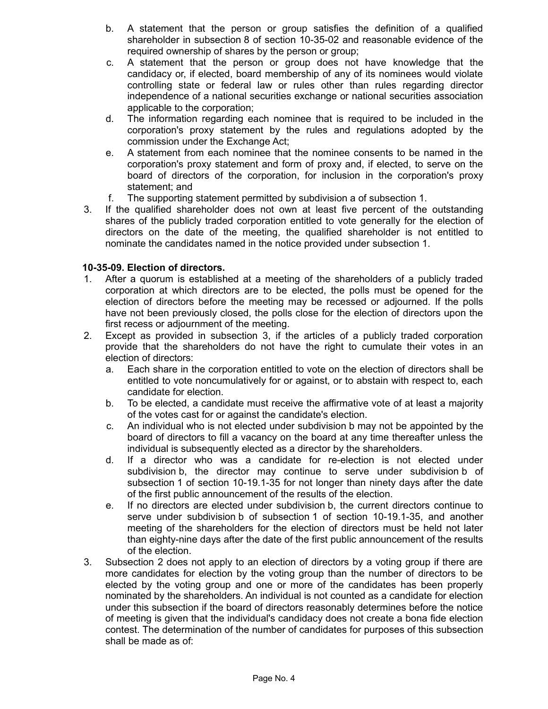- b. A statement that the person or group satisfies the definition of a qualified shareholder in subsection 8 of section 10-35-02 and reasonable evidence of the required ownership of shares by the person or group;
- c. A statement that the person or group does not have knowledge that the candidacy or, if elected, board membership of any of its nominees would violate controlling state or federal law or rules other than rules regarding director independence of a national securities exchange or national securities association applicable to the corporation;
- d. The information regarding each nominee that is required to be included in the corporation's proxy statement by the rules and regulations adopted by the commission under the Exchange Act;
- e. A statement from each nominee that the nominee consents to be named in the corporation's proxy statement and form of proxy and, if elected, to serve on the board of directors of the corporation, for inclusion in the corporation's proxy statement; and
- f. The supporting statement permitted by subdivision a of subsection 1.
- 3. If the qualified shareholder does not own at least five percent of the outstanding shares of the publicly traded corporation entitled to vote generally for the election of directors on the date of the meeting, the qualified shareholder is not entitled to nominate the candidates named in the notice provided under subsection 1.

#### **10-35-09. Election of directors.**

- 1. After a quorum is established at a meeting of the shareholders of a publicly traded corporation at which directors are to be elected, the polls must be opened for the election of directors before the meeting may be recessed or adjourned. If the polls have not been previously closed, the polls close for the election of directors upon the first recess or adjournment of the meeting.
- 2. Except as provided in subsection 3, if the articles of a publicly traded corporation provide that the shareholders do not have the right to cumulate their votes in an election of directors:
	- a. Each share in the corporation entitled to vote on the election of directors shall be entitled to vote noncumulatively for or against, or to abstain with respect to, each candidate for election.
	- b. To be elected, a candidate must receive the affirmative vote of at least a majority of the votes cast for or against the candidate's election.
	- c. An individual who is not elected under subdivision b may not be appointed by the board of directors to fill a vacancy on the board at any time thereafter unless the individual is subsequently elected as a director by the shareholders.
	- d. If a director who was a candidate for re-election is not elected under subdivision b, the director may continue to serve under subdivision b of subsection 1 of section 10-19.1-35 for not longer than ninety days after the date of the first public announcement of the results of the election.
	- e. If no directors are elected under subdivision b, the current directors continue to serve under subdivision b of subsection 1 of section 10-19.1-35, and another meeting of the shareholders for the election of directors must be held not later than eighty-nine days after the date of the first public announcement of the results of the election.
- 3. Subsection 2 does not apply to an election of directors by a voting group if there are more candidates for election by the voting group than the number of directors to be elected by the voting group and one or more of the candidates has been properly nominated by the shareholders. An individual is not counted as a candidate for election under this subsection if the board of directors reasonably determines before the notice of meeting is given that the individual's candidacy does not create a bona fide election contest. The determination of the number of candidates for purposes of this subsection shall be made as of: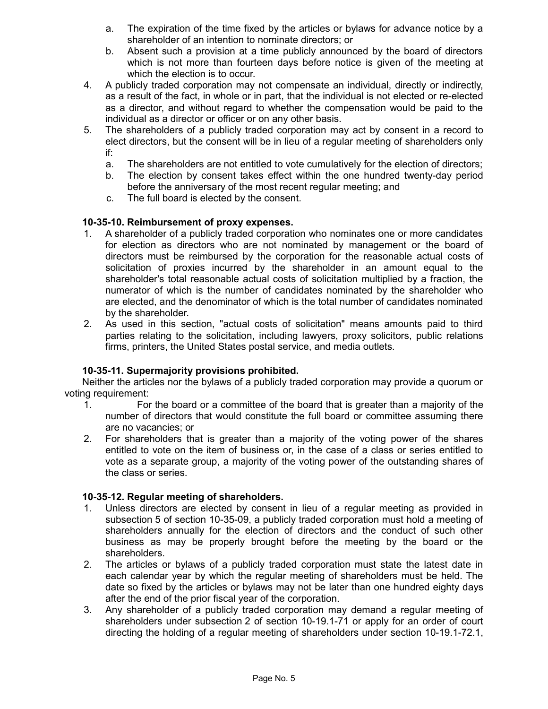- a. The expiration of the time fixed by the articles or bylaws for advance notice by a shareholder of an intention to nominate directors; or
- b. Absent such a provision at a time publicly announced by the board of directors which is not more than fourteen days before notice is given of the meeting at which the election is to occur.
- 4. A publicly traded corporation may not compensate an individual, directly or indirectly, as a result of the fact, in whole or in part, that the individual is not elected or re-elected as a director, and without regard to whether the compensation would be paid to the individual as a director or officer or on any other basis.
- 5. The shareholders of a publicly traded corporation may act by consent in a record to elect directors, but the consent will be in lieu of a regular meeting of shareholders only if:
	- a. The shareholders are not entitled to vote cumulatively for the election of directors;
	- b. The election by consent takes effect within the one hundred twenty-day period before the anniversary of the most recent regular meeting; and
	- c. The full board is elected by the consent.

# **10-35-10. Reimbursement of proxy expenses.**

- 1. A shareholder of a publicly traded corporation who nominates one or more candidates for election as directors who are not nominated by management or the board of directors must be reimbursed by the corporation for the reasonable actual costs of solicitation of proxies incurred by the shareholder in an amount equal to the shareholder's total reasonable actual costs of solicitation multiplied by a fraction, the numerator of which is the number of candidates nominated by the shareholder who are elected, and the denominator of which is the total number of candidates nominated by the shareholder.
- 2. As used in this section, "actual costs of solicitation" means amounts paid to third parties relating to the solicitation, including lawyers, proxy solicitors, public relations firms, printers, the United States postal service, and media outlets.

#### **10-35-11. Supermajority provisions prohibited.**

Neither the articles nor the bylaws of a publicly traded corporation may provide a quorum or voting requirement:

- 1. For the board or a committee of the board that is greater than a majority of the number of directors that would constitute the full board or committee assuming there are no vacancies; or
- 2. For shareholders that is greater than a majority of the voting power of the shares entitled to vote on the item of business or, in the case of a class or series entitled to vote as a separate group, a majority of the voting power of the outstanding shares of the class or series.

#### **10-35-12. Regular meeting of shareholders.**

- 1. Unless directors are elected by consent in lieu of a regular meeting as provided in subsection 5 of section 10-35-09, a publicly traded corporation must hold a meeting of shareholders annually for the election of directors and the conduct of such other business as may be properly brought before the meeting by the board or the shareholders.
- 2. The articles or bylaws of a publicly traded corporation must state the latest date in each calendar year by which the regular meeting of shareholders must be held. The date so fixed by the articles or bylaws may not be later than one hundred eighty days after the end of the prior fiscal year of the corporation.
- 3. Any shareholder of a publicly traded corporation may demand a regular meeting of shareholders under subsection 2 of section 10-19.1-71 or apply for an order of court directing the holding of a regular meeting of shareholders under section 10-19.1-72.1,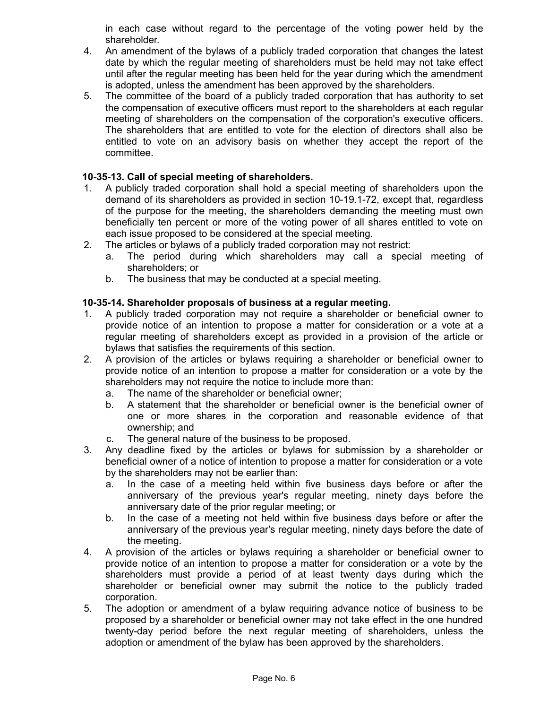in each case without regard to the percentage of the voting power held by the shareholder.

- 4. An amendment of the bylaws of a publicly traded corporation that changes the latest date by which the regular meeting of shareholders must be held may not take effect until after the regular meeting has been held for the year during which the amendment is adopted, unless the amendment has been approved by the shareholders.
- 5. The committee of the board of a publicly traded corporation that has authority to set the compensation of executive officers must report to the shareholders at each regular meeting of shareholders on the compensation of the corporation's executive officers. The shareholders that are entitled to vote for the election of directors shall also be entitled to vote on an advisory basis on whether they accept the report of the committee.

## **10-35-13. Call of special meeting of shareholders.**

- 1. A publicly traded corporation shall hold a special meeting of shareholders upon the demand of its shareholders as provided in section 10-19.1-72, except that, regardless of the purpose for the meeting, the shareholders demanding the meeting must own beneficially ten percent or more of the voting power of all shares entitled to vote on each issue proposed to be considered at the special meeting.
- 2. The articles or bylaws of a publicly traded corporation may not restrict:
	- a. The period during which shareholders may call a special meeting of shareholders; or
	- b. The business that may be conducted at a special meeting.

# **10-35-14. Shareholder proposals of business at a regular meeting.**

- 1. A publicly traded corporation may not require a shareholder or beneficial owner to provide notice of an intention to propose a matter for consideration or a vote at a regular meeting of shareholders except as provided in a provision of the article or bylaws that satisfies the requirements of this section.
- 2. A provision of the articles or bylaws requiring a shareholder or beneficial owner to provide notice of an intention to propose a matter for consideration or a vote by the shareholders may not require the notice to include more than:
	- a. The name of the shareholder or beneficial owner;
	- b. A statement that the shareholder or beneficial owner is the beneficial owner of one or more shares in the corporation and reasonable evidence of that ownership; and
	- c. The general nature of the business to be proposed.
- 3. Any deadline fixed by the articles or bylaws for submission by a shareholder or beneficial owner of a notice of intention to propose a matter for consideration or a vote by the shareholders may not be earlier than:
	- a. In the case of a meeting held within five business days before or after the anniversary of the previous year's regular meeting, ninety days before the anniversary date of the prior regular meeting; or
	- b. In the case of a meeting not held within five business days before or after the anniversary of the previous year's regular meeting, ninety days before the date of the meeting.
- 4. A provision of the articles or bylaws requiring a shareholder or beneficial owner to provide notice of an intention to propose a matter for consideration or a vote by the shareholders must provide a period of at least twenty days during which the shareholder or beneficial owner may submit the notice to the publicly traded corporation.
- 5. The adoption or amendment of a bylaw requiring advance notice of business to be proposed by a shareholder or beneficial owner may not take effect in the one hundred twenty-day period before the next regular meeting of shareholders, unless the adoption or amendment of the bylaw has been approved by the shareholders.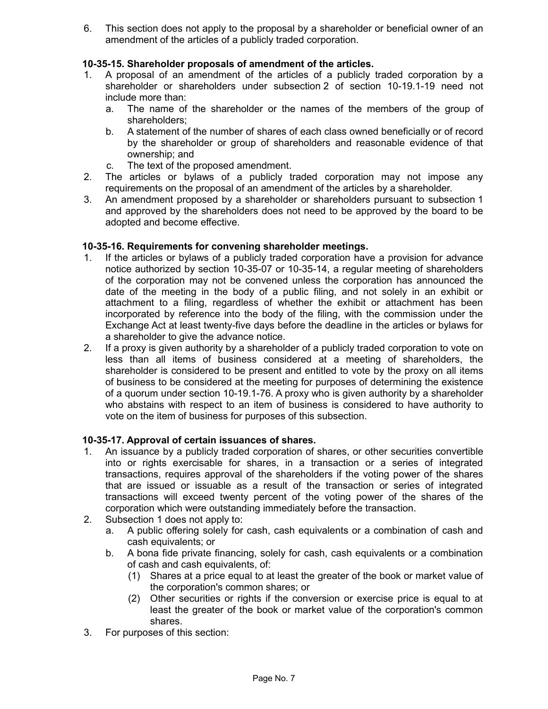6. This section does not apply to the proposal by a shareholder or beneficial owner of an amendment of the articles of a publicly traded corporation.

## **10-35-15. Shareholder proposals of amendment of the articles.**

- 1. A proposal of an amendment of the articles of a publicly traded corporation by a shareholder or shareholders under subsection 2 of section 10-19.1-19 need not include more than:
	- a. The name of the shareholder or the names of the members of the group of shareholders;
	- b. A statement of the number of shares of each class owned beneficially or of record by the shareholder or group of shareholders and reasonable evidence of that ownership; and
	- c. The text of the proposed amendment.
- 2. The articles or bylaws of a publicly traded corporation may not impose any requirements on the proposal of an amendment of the articles by a shareholder.
- 3. An amendment proposed by a shareholder or shareholders pursuant to subsection 1 and approved by the shareholders does not need to be approved by the board to be adopted and become effective.

#### **10-35-16. Requirements for convening shareholder meetings.**

- 1. If the articles or bylaws of a publicly traded corporation have a provision for advance notice authorized by section 10-35-07 or 10-35-14, a regular meeting of shareholders of the corporation may not be convened unless the corporation has announced the date of the meeting in the body of a public filing, and not solely in an exhibit or attachment to a filing, regardless of whether the exhibit or attachment has been incorporated by reference into the body of the filing, with the commission under the Exchange Act at least twenty-five days before the deadline in the articles or bylaws for a shareholder to give the advance notice.
- 2. If a proxy is given authority by a shareholder of a publicly traded corporation to vote on less than all items of business considered at a meeting of shareholders, the shareholder is considered to be present and entitled to vote by the proxy on all items of business to be considered at the meeting for purposes of determining the existence of a quorum under section 10-19.1-76. A proxy who is given authority by a shareholder who abstains with respect to an item of business is considered to have authority to vote on the item of business for purposes of this subsection.

#### **10-35-17. Approval of certain issuances of shares.**

- 1. An issuance by a publicly traded corporation of shares, or other securities convertible into or rights exercisable for shares, in a transaction or a series of integrated transactions, requires approval of the shareholders if the voting power of the shares that are issued or issuable as a result of the transaction or series of integrated transactions will exceed twenty percent of the voting power of the shares of the corporation which were outstanding immediately before the transaction.
- 2. Subsection 1 does not apply to:
	- a. A public offering solely for cash, cash equivalents or a combination of cash and cash equivalents; or
	- b. A bona fide private financing, solely for cash, cash equivalents or a combination of cash and cash equivalents, of:
		- (1) Shares at a price equal to at least the greater of the book or market value of the corporation's common shares; or
		- (2) Other securities or rights if the conversion or exercise price is equal to at least the greater of the book or market value of the corporation's common shares.
- 3. For purposes of this section: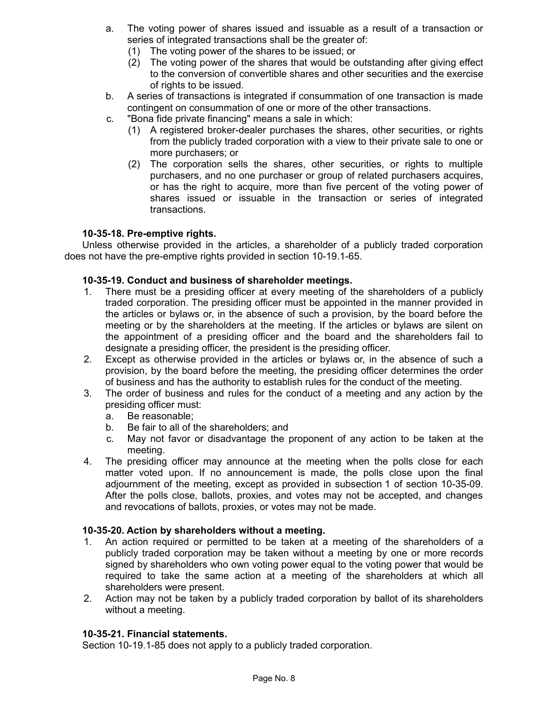- a. The voting power of shares issued and issuable as a result of a transaction or series of integrated transactions shall be the greater of:
	- (1) The voting power of the shares to be issued; or
	- (2) The voting power of the shares that would be outstanding after giving effect to the conversion of convertible shares and other securities and the exercise of rights to be issued.
- b. A series of transactions is integrated if consummation of one transaction is made contingent on consummation of one or more of the other transactions.
- c. "Bona fide private financing" means a sale in which:
	- (1) A registered broker-dealer purchases the shares, other securities, or rights from the publicly traded corporation with a view to their private sale to one or more purchasers; or
	- (2) The corporation sells the shares, other securities, or rights to multiple purchasers, and no one purchaser or group of related purchasers acquires, or has the right to acquire, more than five percent of the voting power of shares issued or issuable in the transaction or series of integrated transactions.

## **10-35-18. Pre-emptive rights.**

Unless otherwise provided in the articles, a shareholder of a publicly traded corporation does not have the pre-emptive rights provided in section 10-19.1-65.

#### **10-35-19. Conduct and business of shareholder meetings.**

- 1. There must be a presiding officer at every meeting of the shareholders of a publicly traded corporation. The presiding officer must be appointed in the manner provided in the articles or bylaws or, in the absence of such a provision, by the board before the meeting or by the shareholders at the meeting. If the articles or bylaws are silent on the appointment of a presiding officer and the board and the shareholders fail to designate a presiding officer, the president is the presiding officer.
- 2. Except as otherwise provided in the articles or bylaws or, in the absence of such a provision, by the board before the meeting, the presiding officer determines the order of business and has the authority to establish rules for the conduct of the meeting.
- 3. The order of business and rules for the conduct of a meeting and any action by the presiding officer must:
	- a. Be reasonable;
	- b. Be fair to all of the shareholders; and
	- c. May not favor or disadvantage the proponent of any action to be taken at the meeting.
- 4. The presiding officer may announce at the meeting when the polls close for each matter voted upon. If no announcement is made, the polls close upon the final adjournment of the meeting, except as provided in subsection 1 of section 10-35-09. After the polls close, ballots, proxies, and votes may not be accepted, and changes and revocations of ballots, proxies, or votes may not be made.

#### **10-35-20. Action by shareholders without a meeting.**

- 1. An action required or permitted to be taken at a meeting of the shareholders of a publicly traded corporation may be taken without a meeting by one or more records signed by shareholders who own voting power equal to the voting power that would be required to take the same action at a meeting of the shareholders at which all shareholders were present.
- 2. Action may not be taken by a publicly traded corporation by ballot of its shareholders without a meeting.

#### **10-35-21. Financial statements.**

Section 10-19.1-85 does not apply to a publicly traded corporation.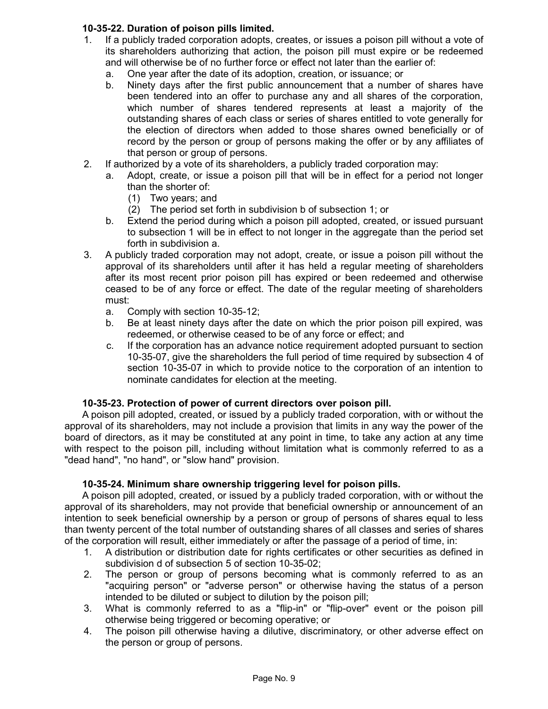# **10-35-22. Duration of poison pills limited.**

- 1. If a publicly traded corporation adopts, creates, or issues a poison pill without a vote of its shareholders authorizing that action, the poison pill must expire or be redeemed and will otherwise be of no further force or effect not later than the earlier of:
	- a. One year after the date of its adoption, creation, or issuance; or
	- b. Ninety days after the first public announcement that a number of shares have been tendered into an offer to purchase any and all shares of the corporation, which number of shares tendered represents at least a majority of the outstanding shares of each class or series of shares entitled to vote generally for the election of directors when added to those shares owned beneficially or of record by the person or group of persons making the offer or by any affiliates of that person or group of persons.
- 2. If authorized by a vote of its shareholders, a publicly traded corporation may:
	- a. Adopt, create, or issue a poison pill that will be in effect for a period not longer than the shorter of:
		- (1) Two years; and
		- (2) The period set forth in subdivision b of subsection 1; or
	- b. Extend the period during which a poison pill adopted, created, or issued pursuant to subsection 1 will be in effect to not longer in the aggregate than the period set forth in subdivision a.
- 3. A publicly traded corporation may not adopt, create, or issue a poison pill without the approval of its shareholders until after it has held a regular meeting of shareholders after its most recent prior poison pill has expired or been redeemed and otherwise ceased to be of any force or effect. The date of the regular meeting of shareholders must:
	- a. Comply with section 10-35-12;
	- b. Be at least ninety days after the date on which the prior poison pill expired, was redeemed, or otherwise ceased to be of any force or effect; and
	- c. If the corporation has an advance notice requirement adopted pursuant to section 10-35-07, give the shareholders the full period of time required by subsection 4 of section 10-35-07 in which to provide notice to the corporation of an intention to nominate candidates for election at the meeting.

#### **10-35-23. Protection of power of current directors over poison pill.**

A poison pill adopted, created, or issued by a publicly traded corporation, with or without the approval of its shareholders, may not include a provision that limits in any way the power of the board of directors, as it may be constituted at any point in time, to take any action at any time with respect to the poison pill, including without limitation what is commonly referred to as a "dead hand", "no hand", or "slow hand" provision.

#### **10-35-24. Minimum share ownership triggering level for poison pills.**

A poison pill adopted, created, or issued by a publicly traded corporation, with or without the approval of its shareholders, may not provide that beneficial ownership or announcement of an intention to seek beneficial ownership by a person or group of persons of shares equal to less than twenty percent of the total number of outstanding shares of all classes and series of shares of the corporation will result, either immediately or after the passage of a period of time, in:

- 1. A distribution or distribution date for rights certificates or other securities as defined in subdivision d of subsection 5 of section 10-35-02;
- 2. The person or group of persons becoming what is commonly referred to as an "acquiring person" or "adverse person" or otherwise having the status of a person intended to be diluted or subject to dilution by the poison pill;
- 3. What is commonly referred to as a "flip-in" or "flip-over" event or the poison pill otherwise being triggered or becoming operative; or
- 4. The poison pill otherwise having a dilutive, discriminatory, or other adverse effect on the person or group of persons.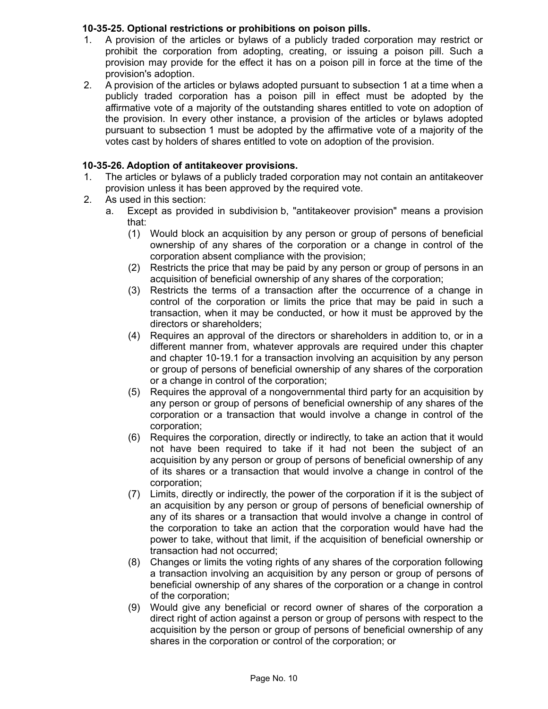#### **10-35-25. Optional restrictions or prohibitions on poison pills.**

- 1. A provision of the articles or bylaws of a publicly traded corporation may restrict or prohibit the corporation from adopting, creating, or issuing a poison pill. Such a provision may provide for the effect it has on a poison pill in force at the time of the provision's adoption.
- 2. A provision of the articles or bylaws adopted pursuant to subsection 1 at a time when a publicly traded corporation has a poison pill in effect must be adopted by the affirmative vote of a majority of the outstanding shares entitled to vote on adoption of the provision. In every other instance, a provision of the articles or bylaws adopted pursuant to subsection 1 must be adopted by the affirmative vote of a majority of the votes cast by holders of shares entitled to vote on adoption of the provision.

# **10-35-26. Adoption of antitakeover provisions.**

- 1. The articles or bylaws of a publicly traded corporation may not contain an antitakeover provision unless it has been approved by the required vote.
- 2. As used in this section:
	- a. Except as provided in subdivision b, "antitakeover provision" means a provision that:
		- (1) Would block an acquisition by any person or group of persons of beneficial ownership of any shares of the corporation or a change in control of the corporation absent compliance with the provision;
		- (2) Restricts the price that may be paid by any person or group of persons in an acquisition of beneficial ownership of any shares of the corporation;
		- (3) Restricts the terms of a transaction after the occurrence of a change in control of the corporation or limits the price that may be paid in such a transaction, when it may be conducted, or how it must be approved by the directors or shareholders;
		- (4) Requires an approval of the directors or shareholders in addition to, or in a different manner from, whatever approvals are required under this chapter and chapter 10-19.1 for a transaction involving an acquisition by any person or group of persons of beneficial ownership of any shares of the corporation or a change in control of the corporation;
		- (5) Requires the approval of a nongovernmental third party for an acquisition by any person or group of persons of beneficial ownership of any shares of the corporation or a transaction that would involve a change in control of the corporation;
		- (6) Requires the corporation, directly or indirectly, to take an action that it would not have been required to take if it had not been the subject of an acquisition by any person or group of persons of beneficial ownership of any of its shares or a transaction that would involve a change in control of the corporation;
		- (7) Limits, directly or indirectly, the power of the corporation if it is the subject of an acquisition by any person or group of persons of beneficial ownership of any of its shares or a transaction that would involve a change in control of the corporation to take an action that the corporation would have had the power to take, without that limit, if the acquisition of beneficial ownership or transaction had not occurred;
		- (8) Changes or limits the voting rights of any shares of the corporation following a transaction involving an acquisition by any person or group of persons of beneficial ownership of any shares of the corporation or a change in control of the corporation;
		- (9) Would give any beneficial or record owner of shares of the corporation a direct right of action against a person or group of persons with respect to the acquisition by the person or group of persons of beneficial ownership of any shares in the corporation or control of the corporation; or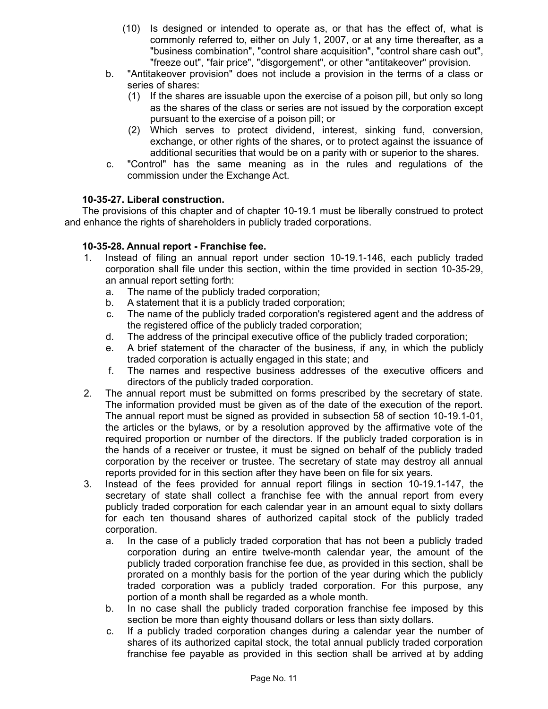- (10) Is designed or intended to operate as, or that has the effect of, what is commonly referred to, either on July 1, 2007, or at any time thereafter, as a "business combination", "control share acquisition", "control share cash out", "freeze out", "fair price", "disgorgement", or other "antitakeover" provision.
- b. "Antitakeover provision" does not include a provision in the terms of a class or series of shares:
	- (1) If the shares are issuable upon the exercise of a poison pill, but only so long as the shares of the class or series are not issued by the corporation except pursuant to the exercise of a poison pill; or
	- (2) Which serves to protect dividend, interest, sinking fund, conversion, exchange, or other rights of the shares, or to protect against the issuance of additional securities that would be on a parity with or superior to the shares.
- c. "Control" has the same meaning as in the rules and regulations of the commission under the Exchange Act.

#### **10-35-27. Liberal construction.**

The provisions of this chapter and of chapter 10-19.1 must be liberally construed to protect and enhance the rights of shareholders in publicly traded corporations.

#### **10-35-28. Annual report - Franchise fee.**

- 1. Instead of filing an annual report under section 10-19.1-146, each publicly traded corporation shall file under this section, within the time provided in section 10-35-29, an annual report setting forth:
	- a. The name of the publicly traded corporation;
	- b. A statement that it is a publicly traded corporation;
	- c. The name of the publicly traded corporation's registered agent and the address of the registered office of the publicly traded corporation;
	- d. The address of the principal executive office of the publicly traded corporation;
	- e. A brief statement of the character of the business, if any, in which the publicly traded corporation is actually engaged in this state; and
	- f. The names and respective business addresses of the executive officers and directors of the publicly traded corporation.
- 2. The annual report must be submitted on forms prescribed by the secretary of state. The information provided must be given as of the date of the execution of the report. The annual report must be signed as provided in subsection 58 of section 10-19.1-01, the articles or the bylaws, or by a resolution approved by the affirmative vote of the required proportion or number of the directors. If the publicly traded corporation is in the hands of a receiver or trustee, it must be signed on behalf of the publicly traded corporation by the receiver or trustee. The secretary of state may destroy all annual reports provided for in this section after they have been on file for six years.
- 3. Instead of the fees provided for annual report filings in section 10-19.1-147, the secretary of state shall collect a franchise fee with the annual report from every publicly traded corporation for each calendar year in an amount equal to sixty dollars for each ten thousand shares of authorized capital stock of the publicly traded corporation.
	- a. In the case of a publicly traded corporation that has not been a publicly traded corporation during an entire twelve-month calendar year, the amount of the publicly traded corporation franchise fee due, as provided in this section, shall be prorated on a monthly basis for the portion of the year during which the publicly traded corporation was a publicly traded corporation. For this purpose, any portion of a month shall be regarded as a whole month.
	- b. In no case shall the publicly traded corporation franchise fee imposed by this section be more than eighty thousand dollars or less than sixty dollars.
	- c. If a publicly traded corporation changes during a calendar year the number of shares of its authorized capital stock, the total annual publicly traded corporation franchise fee payable as provided in this section shall be arrived at by adding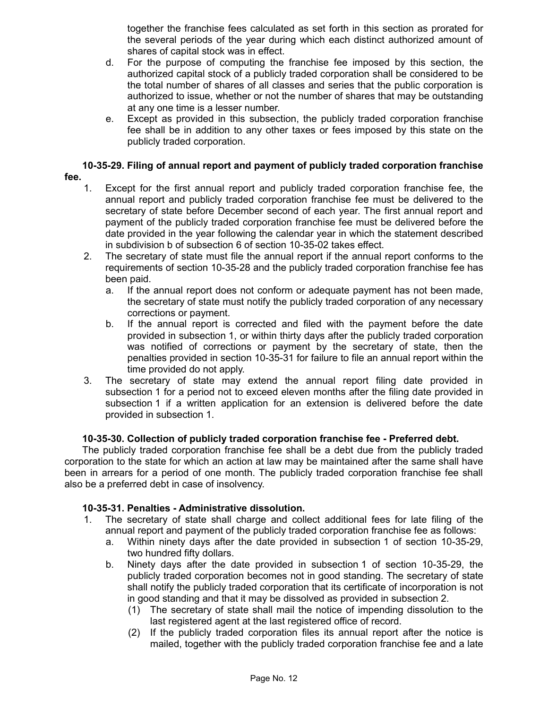together the franchise fees calculated as set forth in this section as prorated for the several periods of the year during which each distinct authorized amount of shares of capital stock was in effect.

- d. For the purpose of computing the franchise fee imposed by this section, the authorized capital stock of a publicly traded corporation shall be considered to be the total number of shares of all classes and series that the public corporation is authorized to issue, whether or not the number of shares that may be outstanding at any one time is a lesser number.
- e. Except as provided in this subsection, the publicly traded corporation franchise fee shall be in addition to any other taxes or fees imposed by this state on the publicly traded corporation.

# **10-35-29. Filing of annual report and payment of publicly traded corporation franchise**

- **fee.**
- 1. Except for the first annual report and publicly traded corporation franchise fee, the annual report and publicly traded corporation franchise fee must be delivered to the secretary of state before December second of each year. The first annual report and payment of the publicly traded corporation franchise fee must be delivered before the date provided in the year following the calendar year in which the statement described in subdivision b of subsection 6 of section 10-35-02 takes effect.
- 2. The secretary of state must file the annual report if the annual report conforms to the requirements of section 10-35-28 and the publicly traded corporation franchise fee has been paid.
	- a. If the annual report does not conform or adequate payment has not been made, the secretary of state must notify the publicly traded corporation of any necessary corrections or payment.
	- b. If the annual report is corrected and filed with the payment before the date provided in subsection 1, or within thirty days after the publicly traded corporation was notified of corrections or payment by the secretary of state, then the penalties provided in section 10-35-31 for failure to file an annual report within the time provided do not apply.
- 3. The secretary of state may extend the annual report filing date provided in subsection 1 for a period not to exceed eleven months after the filing date provided in subsection 1 if a written application for an extension is delivered before the date provided in subsection 1.

# **10-35-30. Collection of publicly traded corporation franchise fee - Preferred debt.**

The publicly traded corporation franchise fee shall be a debt due from the publicly traded corporation to the state for which an action at law may be maintained after the same shall have been in arrears for a period of one month. The publicly traded corporation franchise fee shall also be a preferred debt in case of insolvency.

#### **10-35-31. Penalties - Administrative dissolution.**

- 1. The secretary of state shall charge and collect additional fees for late filing of the annual report and payment of the publicly traded corporation franchise fee as follows:
	- a. Within ninety days after the date provided in subsection 1 of section 10-35-29, two hundred fifty dollars.
	- b. Ninety days after the date provided in subsection 1 of section 10-35-29, the publicly traded corporation becomes not in good standing. The secretary of state shall notify the publicly traded corporation that its certificate of incorporation is not in good standing and that it may be dissolved as provided in subsection 2.
		- (1) The secretary of state shall mail the notice of impending dissolution to the last registered agent at the last registered office of record.
		- (2) If the publicly traded corporation files its annual report after the notice is mailed, together with the publicly traded corporation franchise fee and a late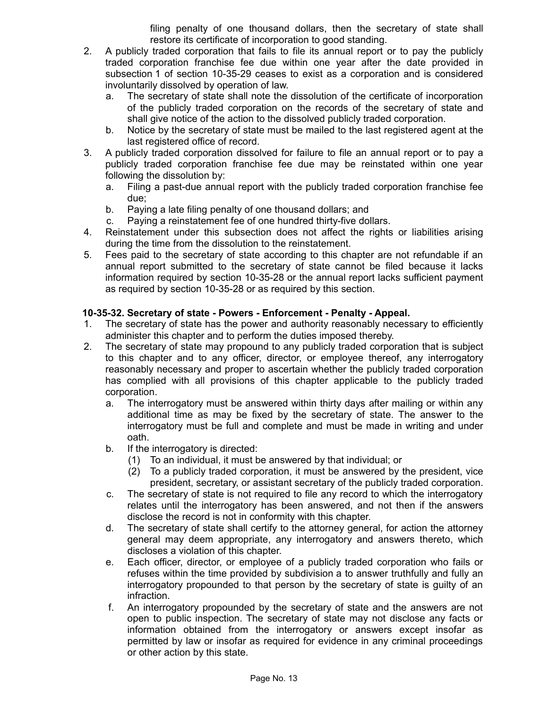filing penalty of one thousand dollars, then the secretary of state shall restore its certificate of incorporation to good standing.

- 2. A publicly traded corporation that fails to file its annual report or to pay the publicly traded corporation franchise fee due within one year after the date provided in subsection 1 of section 10-35-29 ceases to exist as a corporation and is considered involuntarily dissolved by operation of law.
	- a. The secretary of state shall note the dissolution of the certificate of incorporation of the publicly traded corporation on the records of the secretary of state and shall give notice of the action to the dissolved publicly traded corporation.
	- b. Notice by the secretary of state must be mailed to the last registered agent at the last registered office of record.
- 3. A publicly traded corporation dissolved for failure to file an annual report or to pay a publicly traded corporation franchise fee due may be reinstated within one year following the dissolution by:
	- a. Filing a past-due annual report with the publicly traded corporation franchise fee due;
	- b. Paying a late filing penalty of one thousand dollars; and
	- c. Paying a reinstatement fee of one hundred thirty-five dollars.
- 4. Reinstatement under this subsection does not affect the rights or liabilities arising during the time from the dissolution to the reinstatement.
- 5. Fees paid to the secretary of state according to this chapter are not refundable if an annual report submitted to the secretary of state cannot be filed because it lacks information required by section 10-35-28 or the annual report lacks sufficient payment as required by section 10-35-28 or as required by this section.

# **10-35-32. Secretary of state - Powers - Enforcement - Penalty - Appeal.**

- 1. The secretary of state has the power and authority reasonably necessary to efficiently administer this chapter and to perform the duties imposed thereby.
- 2. The secretary of state may propound to any publicly traded corporation that is subject to this chapter and to any officer, director, or employee thereof, any interrogatory reasonably necessary and proper to ascertain whether the publicly traded corporation has complied with all provisions of this chapter applicable to the publicly traded corporation.
	- a. The interrogatory must be answered within thirty days after mailing or within any additional time as may be fixed by the secretary of state. The answer to the interrogatory must be full and complete and must be made in writing and under oath.
	- b. If the interrogatory is directed:
		- (1) To an individual, it must be answered by that individual; or
		- (2) To a publicly traded corporation, it must be answered by the president, vice president, secretary, or assistant secretary of the publicly traded corporation.
	- c. The secretary of state is not required to file any record to which the interrogatory relates until the interrogatory has been answered, and not then if the answers disclose the record is not in conformity with this chapter.
	- d. The secretary of state shall certify to the attorney general, for action the attorney general may deem appropriate, any interrogatory and answers thereto, which discloses a violation of this chapter.
	- e. Each officer, director, or employee of a publicly traded corporation who fails or refuses within the time provided by subdivision a to answer truthfully and fully an interrogatory propounded to that person by the secretary of state is guilty of an infraction.
	- f. An interrogatory propounded by the secretary of state and the answers are not open to public inspection. The secretary of state may not disclose any facts or information obtained from the interrogatory or answers except insofar as permitted by law or insofar as required for evidence in any criminal proceedings or other action by this state.